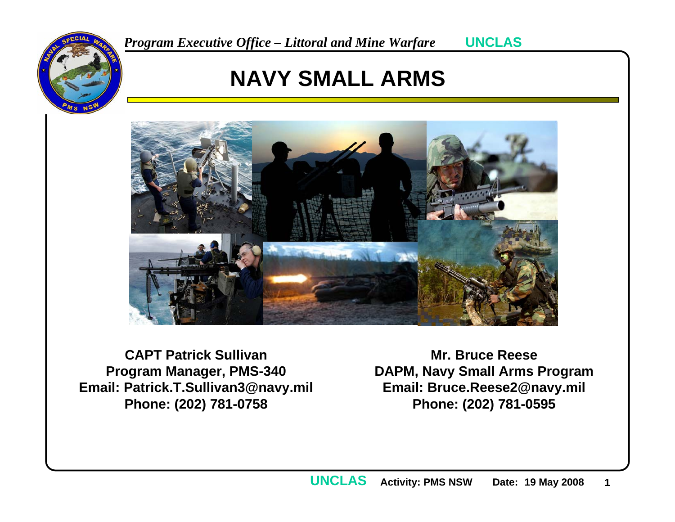

## **NAVY SMALL ARMS**



**CAPT Patrick SullivanProgram Manager, PMS-340 Email: Patrick.T.Sullivan3@navy.mil Phone: (202) 781-0758**

**Mr. Bruce ReeseDAPM, Navy Small Arms Program Email: Bruce.Reese2@navy.mil Phone: (202) 781-0595**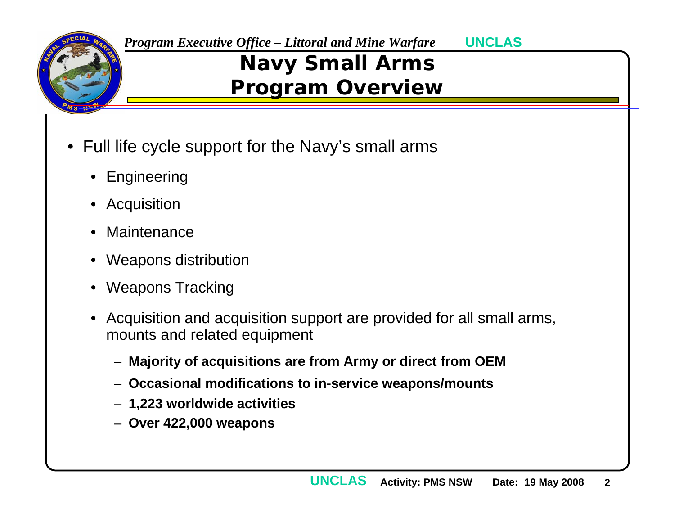

**UNCLAS**

## **Navy Small Arms Program Overview**

- Full life cycle support for the Navy's small arms
	- Engineering
	- Acquisition
	- $\bullet$ Maintenance
	- Weapons distribution
	- Weapons Tracking
	- Acquisition and acquisition support are provided for all small arms, mounts and related equipment
		- **Majority of acquisitions are from Army or direct from OEM**
		- **Occasional modifications to in-service weapons/mounts**
		- **1,223 worldwide activities**
		- **Over 422,000 weapons**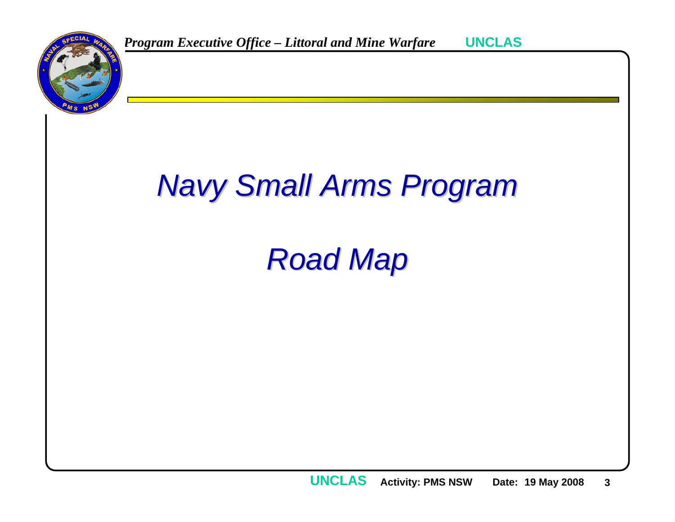

# *Navy Small Arms Program Navy Small Arms Program*

# *Road Map Road Map*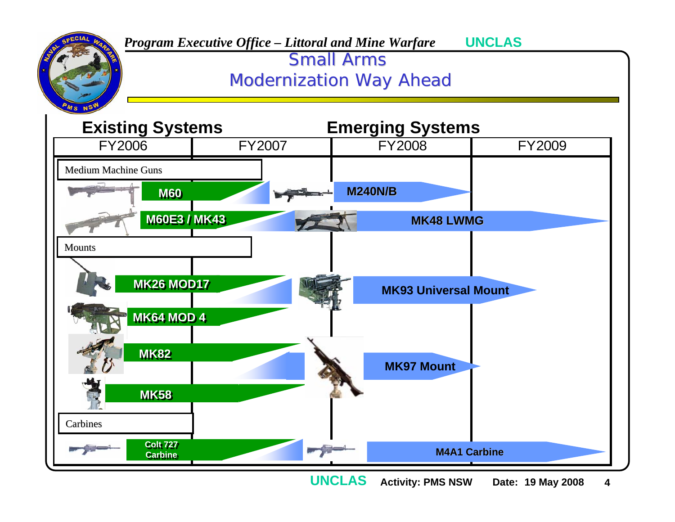

**Activity: PMS NSW Date: 19 May 2008 4 UNCLAS**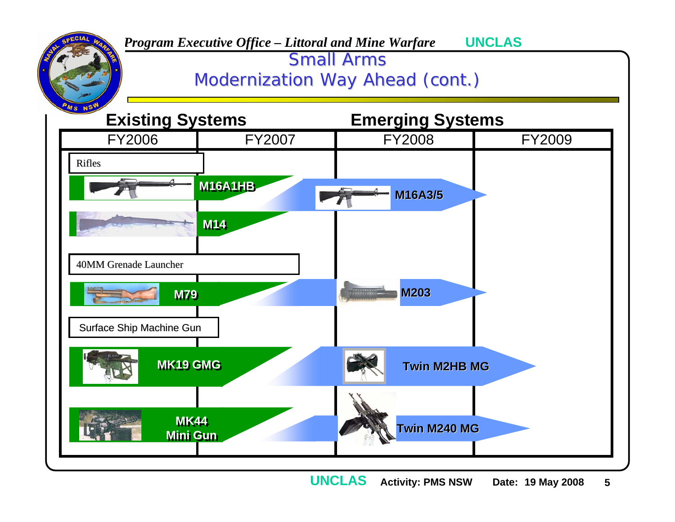

**Activity: PMS NSW Date: 19 May 2008 5 UNCLAS**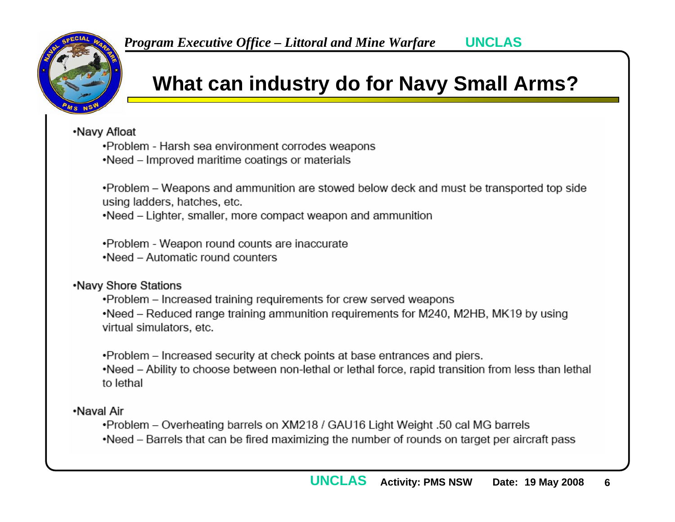

## **What can industry do for Navy Small Arms?**

.Navy Afloat

•Problem - Harsh sea environment corrodes weapons

.Need - Improved maritime coatings or materials

. Problem – Weapons and ammunition are stowed below deck and must be transported top side using ladders, hatches, etc.

•Need – Lighter, smaller, more compact weapon and ammunition

•Problem - Weapon round counts are inaccurate .Need - Automatic round counters

### .Navy Shore Stations

. Problem - Increased training requirements for crew served weapons •Need – Reduced range training ammunition reguirements for M240, M2HB, MK19 by using virtual simulators, etc.

.Problem – Increased security at check points at base entrances and piers. •Need – Ability to choose between non-lethal or lethal force, rapid transition from less than lethal to lethal

### ·Naval Air

•Problem - Overheating barrels on XM218 / GAU16 Light Weight .50 cal MG barrels •Need – Barrels that can be fired maximizing the number of rounds on target per aircraft pass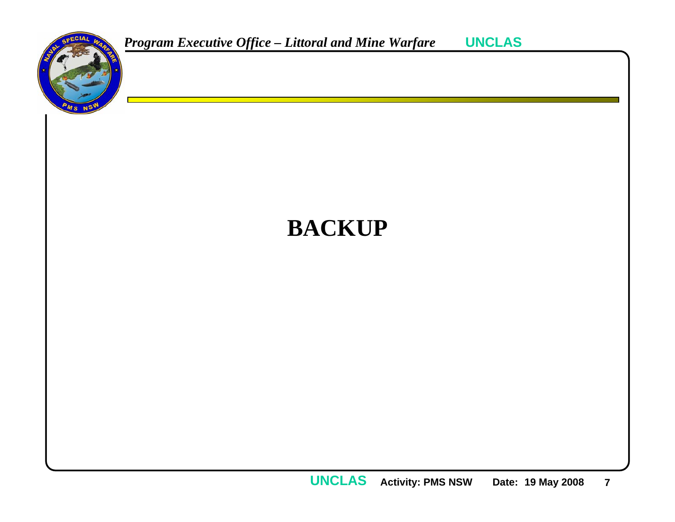

## **BACKUP**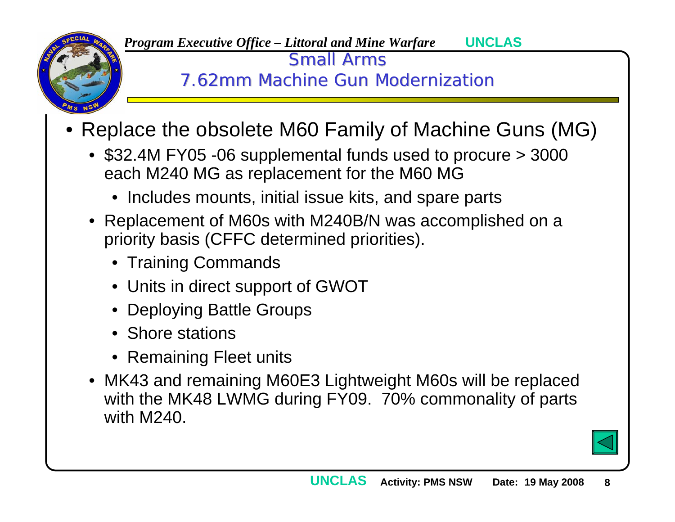

Small Arms

7.62mm Machine Gun Modernization

- Replace the obsolete M60 Family of Machine Guns (MG)
	- \$32.4M FY05 -06 supplemental funds used to procure > 3000 each M240 MG as replacement for the M60 MG
		- Includes mounts, initial issue kits, and spare parts
	- Replacement of M60s with M240B/N was accomplished on a priority basis (CFFC determined priorities).
		- Training Commands
		- Units in direct support of GWOT
		- Deploying Battle Groups
		- Shore stations
		- Remaining Fleet units
	- MK43 and remaining M60E3 Lightweight M60s will be replaced with the MK48 LWMG during FY09. 70% commonality of parts with M240.

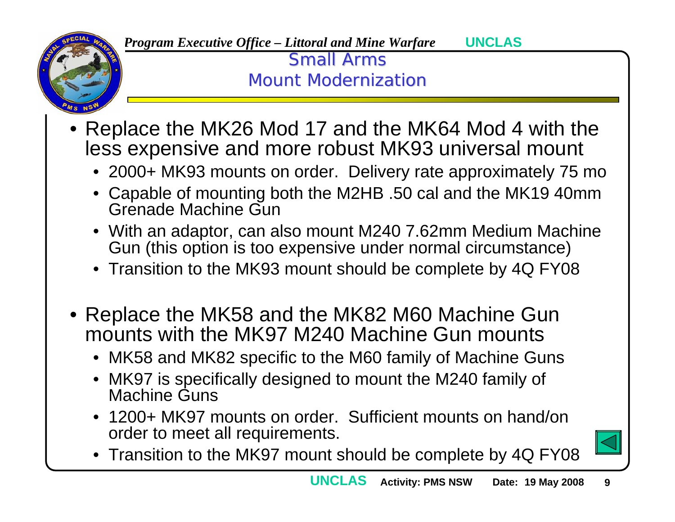

> **Small Arms Mount Modernization**

- Replace the MK26 Mod 17 and the MK64 Mod 4 with the less expensive and more robust MK93 universal mount
	- 2000+ MK93 mounts on order. Delivery rate approximately 75 mo
	- • Capable of mounting both the M2HB .50 cal and the MK19 40mm Grenade Machine Gun
	- With an adaptor, can also mount M240 7.62mm Medium Machine Gun (this option is too expensive under normal circumstance)
	- Transition to the MK93 mount should be complete by 4Q FY08
- Replace the MK58 and the MK82 M60 Machine Gun mounts with the MK97 M240 Machine Gun mounts
	- MK58 and MK82 specific to the M60 family of Machine Guns
	- MK97 is specifically designed to mount the M240 family of Machine Guns
	- $\bullet$  1200+ MK97 mounts on order. Sufficient mounts on hand/on order to meet all requirements.



•Transition to the MK97 mount should be complete by 4Q FY08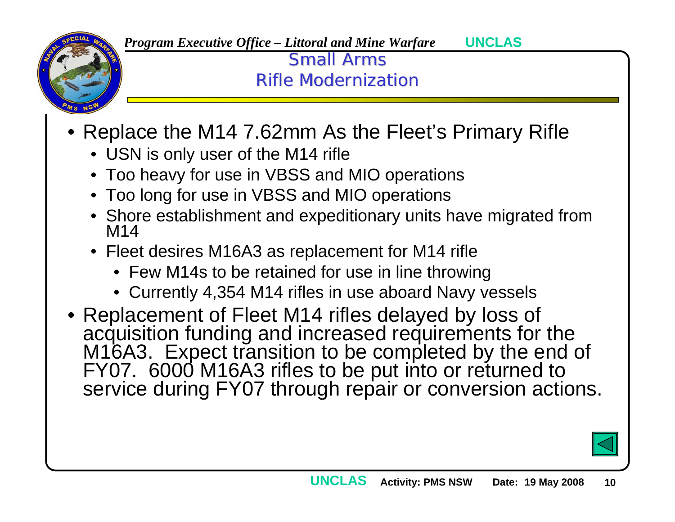

> **Small Arms** Rifle Modernization

- Replace the M14 7.62mm As the Fleet's Primary Rifle
	- USN is only user of the M14 rifle
	- Too heavy for use in VBSS and MIO operations
	- Too long for use in VBSS and MIO operations
	- Shore establishment and expeditionary units have migrated from M14
	- Fleet desires M16A3 as replacement for M14 rifle
		- Few M14s to be retained for use in line throwing
		- Currently 4,354 M14 rifles in use aboard Navy vessels
- Replacement of Fleet M14 rifles delayed by loss of acquisition funding and increased requirements for the<br>M16A3. Expect transition to be completed by the end of<br>FY07. 6000 M16A3 rifles to be put into or returned to<br>service during FY07 through repair or conversion actions.

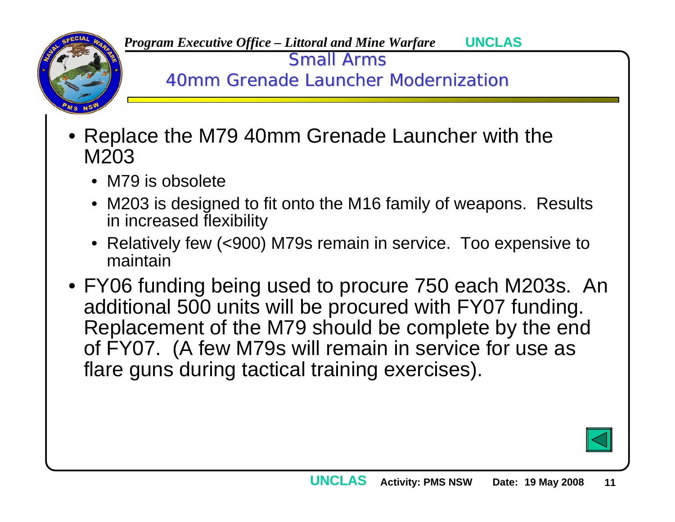

Small Arms

40mm Grenade Launcher Modernization

- Replace the M79 40mm Grenade Launcher with the M203
	- M79 is obsolete
	- M203 is designed to fit onto the M16 family of weapons. Results in increased flexibility
	- Relatively few (<900) M79s remain in service. Too expensive to maintain
- FY06 funding being used to procure 750 each M203s. An additional 500 units will be procured with FY07 funding. Replacement of the M79 should be complete by the end of FY07. (A few M79s will remain in service for use as flare guns during tactical training exercises).

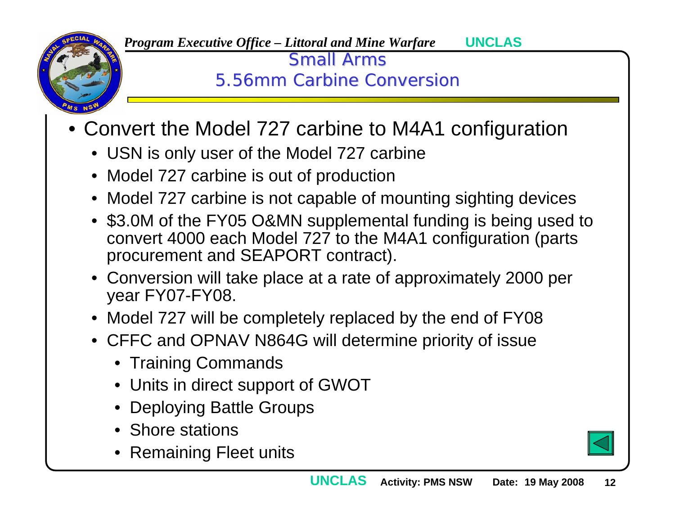

> **Small Arms** 5.56mm Carbine Conversion

- Convert the Model 727 carbine to M4A1 configuration
	- USN is only user of the Model 727 carbine
	- Model 727 carbine is out of production
	- Model 727 carbine is not capable of mounting sighting devices
	- \$3.0M of the FY05 O&MN supplemental funding is being used to convert 4000 each Model 727 to the M4A1 configuration (parts procurement and SEAPORT contract).
	- Conversion will take place at a rate of approximately 2000 per year FY07-FY08.

**UNCLAS**

- Model 727 will be completely replaced by the end of FY08
- CFFC and OPNAV N864G will determine priority of issue
	- Training Commands
	- Units in direct support of GWOT
	- Deploying Battle Groups
	- Shore stations
	- Remaining Fleet units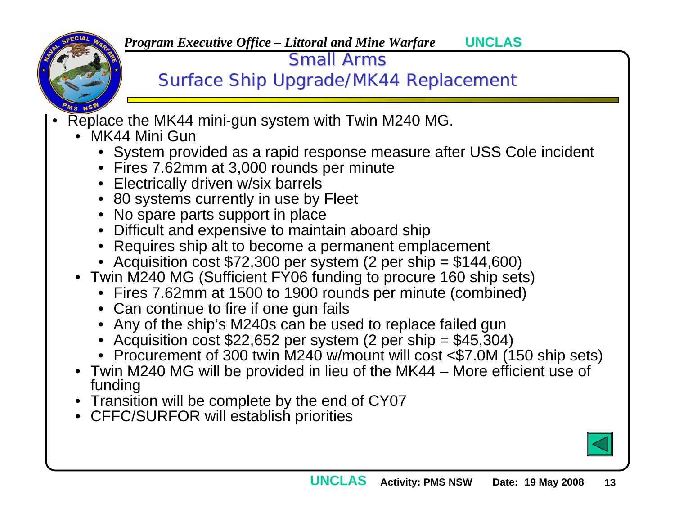

**Small Arms** 

Surface Ship Upgrade/MK44 Replacement

- • Replace the MK44 mini-gun system with Twin M240 MG.
	- MK44 Mini Gun
		- System provided as a rapid response measure after USS Cole incident
		- Fires 7.62mm at 3,000 rounds per minute
		- Electrically driven w/six barrels
		- 80 systems currently in use by Fleet
		- No spare parts support in place
		- Difficult and expensive to maintain aboard ship
		- Requires ship alt to become a permanent emplacement
		- Acquisition cost \$72,300 per system (2 per ship = \$144,600)
	- Twin M240 MG (Sufficient FY06 funding to procure 160 ship sets)
		- Fires 7.62mm at 1500 to 1900 rounds per minute (combined)
		- Can continue to fire if one gun fails
		- Any of the ship's M240s can be used to replace failed gun
		- Acquisition cost \$22,652 per system (2 per ship = \$45,304)
		- Procurement of 300 twin M240 w/mount will cost <\$7.0M (150 ship sets)
	- Twin M240 MG will be provided in lieu of the MK44 More efficient use of funding
	- Transition will be complete by the end of CY07
	- CFFC/SURFOR will establish priorities